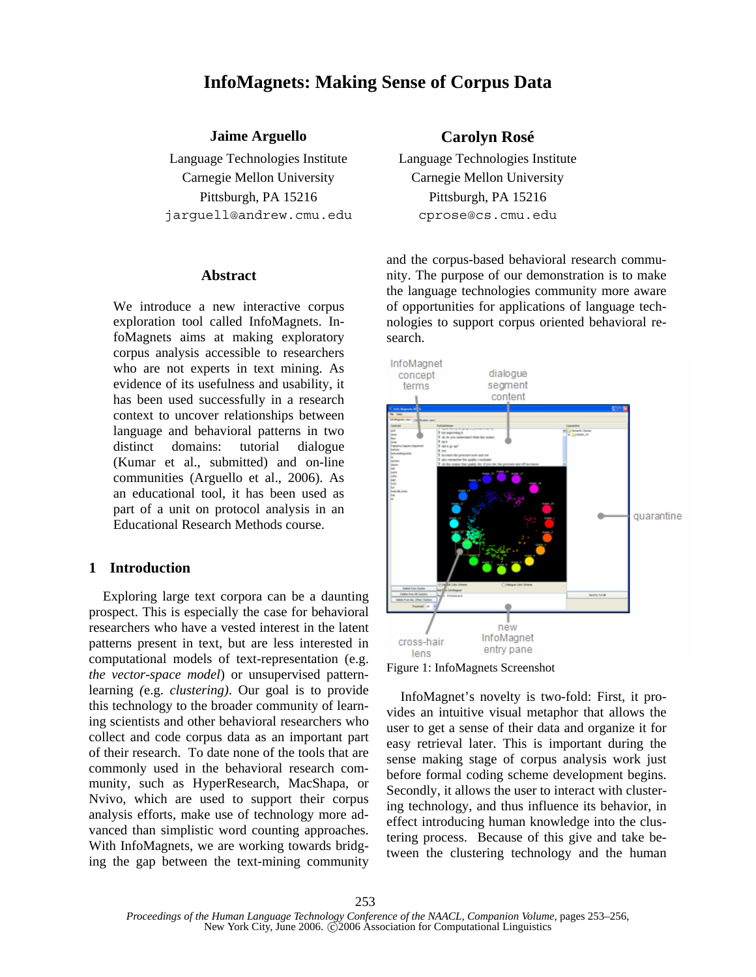# **InfoMagnets: Making Sense of Corpus Data**

## **Jaime Arguello Carolyn Rosé**

Language Technologies Institute Language Technologies Institute Carnegie Mellon University Carnegie Mellon University Pittsburgh, PA 15216 Pittsburgh, PA 15216 jarguell@andrew.cmu.edu cprose@cs.cmu.edu

#### **Abstract**

We introduce a new interactive corpus exploration tool called InfoMagnets. InfoMagnets aims at making exploratory corpus analysis accessible to researchers who are not experts in text mining. As evidence of its usefulness and usability, it has been used successfully in a research context to uncover relationships between language and behavioral patterns in two distinct domains: tutorial dialogue (Kumar et al., submitted) and on-line communities (Arguello et al., 2006). As an educational tool, it has been used as part of a unit on protocol analysis in an Educational Research Methods course.

## **1 Introduction**

Exploring large text corpora can be a daunting prospect. This is especially the case for behavioral researchers who have a vested interest in the latent patterns present in text, but are less interested in computational models of text-representation (e.g. *the vector-space model*) or unsupervised patternlearning *(*e.g. *clustering)*. Our goal is to provide this technology to the broader community of learning scientists and other behavioral researchers who collect and code corpus data as an important part of their research. To date none of the tools that are commonly used in the behavioral research community, such as HyperResearch, MacShapa, or Nvivo, which are used to support their corpus analysis efforts, make use of technology more advanced than simplistic word counting approaches. With InfoMagnets, we are working towards bridging the gap between the text-mining community

and the corpus-based behavioral research community. The purpose of our demonstration is to make the language technologies community more aware of opportunities for applications of language technologies to support corpus oriented behavioral research.





InfoMagnet's novelty is two-fold: First, it provides an intuitive visual metaphor that allows the user to get a sense of their data and organize it for easy retrieval later. This is important during the sense making stage of corpus analysis work just before formal coding scheme development begins. Secondly, it allows the user to interact with clustering technology, and thus influence its behavior, in effect introducing human knowledge into the clustering process. Because of this give and take between the clustering technology and the human

*Proceedings of the Human Language Technology Conference of the NAACL, Companion Volume*, pages 253–256, New York City, June 2006. C 2006 Association for Computational Linguistics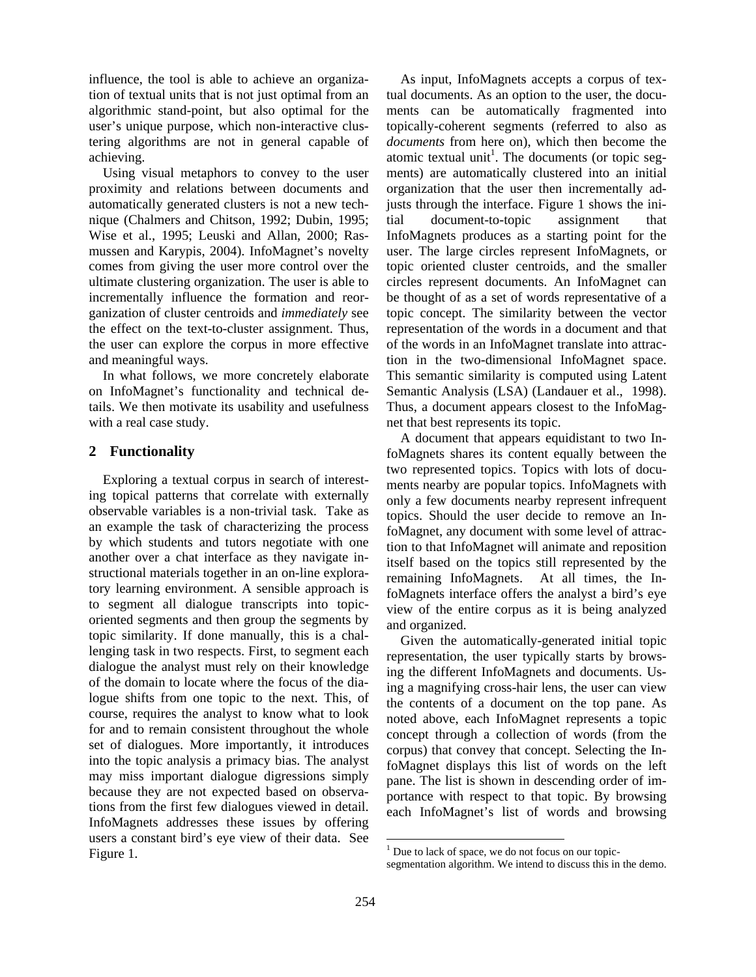influence, the tool is able to achieve an organization of textual units that is not just optimal from an algorithmic stand-point, but also optimal for the user's unique purpose, which non-interactive clustering algorithms are not in general capable of achieving.

Using visual metaphors to convey to the user proximity and relations between documents and automatically generated clusters is not a new technique (Chalmers and Chitson, 1992; Dubin, 1995; Wise et al., 1995; Leuski and Allan, 2000; Rasmussen and Karypis, 2004). InfoMagnet's novelty comes from giving the user more control over the ultimate clustering organization. The user is able to incrementally influence the formation and reorganization of cluster centroids and *immediately* see the effect on the text-to-cluster assignment. Thus, the user can explore the corpus in more effective and meaningful ways.

In what follows, we more concretely elaborate on InfoMagnet's functionality and technical details. We then motivate its usability and usefulness with a real case study.

## **2 Functionality**

Exploring a textual corpus in search of interesting topical patterns that correlate with externally observable variables is a non-trivial task. Take as an example the task of characterizing the process by which students and tutors negotiate with one another over a chat interface as they navigate instructional materials together in an on-line exploratory learning environment. A sensible approach is to segment all dialogue transcripts into topicoriented segments and then group the segments by topic similarity. If done manually, this is a challenging task in two respects. First, to segment each dialogue the analyst must rely on their knowledge of the domain to locate where the focus of the dialogue shifts from one topic to the next. This, of course, requires the analyst to know what to look for and to remain consistent throughout the whole set of dialogues. More importantly, it introduces into the topic analysis a primacy bias. The analyst may miss important dialogue digressions simply because they are not expected based on observations from the first few dialogues viewed in detail. InfoMagnets addresses these issues by offering users a constant bird's eye view of their data. See Figure 1.

As input, InfoMagnets accepts a corpus of textual documents. As an option to the user, the documents can be automatically fragmented into topically-coherent segments (referred to also as *documents* from here on), which then become the atomic textual unit<sup>1</sup>. The documents (or topic segments) are automatically clustered into an initial organization that the user then incrementally adjusts through the interface. Figure 1 shows the initial document-to-topic assignment that InfoMagnets produces as a starting point for the user. The large circles represent InfoMagnets, or topic oriented cluster centroids, and the smaller circles represent documents. An InfoMagnet can be thought of as a set of words representative of a topic concept. The similarity between the vector representation of the words in a document and that of the words in an InfoMagnet translate into attraction in the two-dimensional InfoMagnet space. This semantic similarity is computed using Latent Semantic Analysis (LSA) (Landauer et al., 1998). Thus, a document appears closest to the InfoMagnet that best represents its topic.

A document that appears equidistant to two InfoMagnets shares its content equally between the two represented topics. Topics with lots of documents nearby are popular topics. InfoMagnets with only a few documents nearby represent infrequent topics. Should the user decide to remove an InfoMagnet, any document with some level of attraction to that InfoMagnet will animate and reposition itself based on the topics still represented by the remaining InfoMagnets. At all times, the InfoMagnets interface offers the analyst a bird's eye view of the entire corpus as it is being analyzed and organized.

Given the automatically-generated initial topic representation, the user typically starts by browsing the different InfoMagnets and documents. Using a magnifying cross-hair lens, the user can view the contents of a document on the top pane. As noted above, each InfoMagnet represents a topic concept through a collection of words (from the corpus) that convey that concept. Selecting the InfoMagnet displays this list of words on the left pane. The list is shown in descending order of importance with respect to that topic. By browsing each InfoMagnet's list of words and browsing

l

 $<sup>1</sup>$  Due to lack of space, we do not focus on our topic-</sup>

segmentation algorithm. We intend to discuss this in the demo.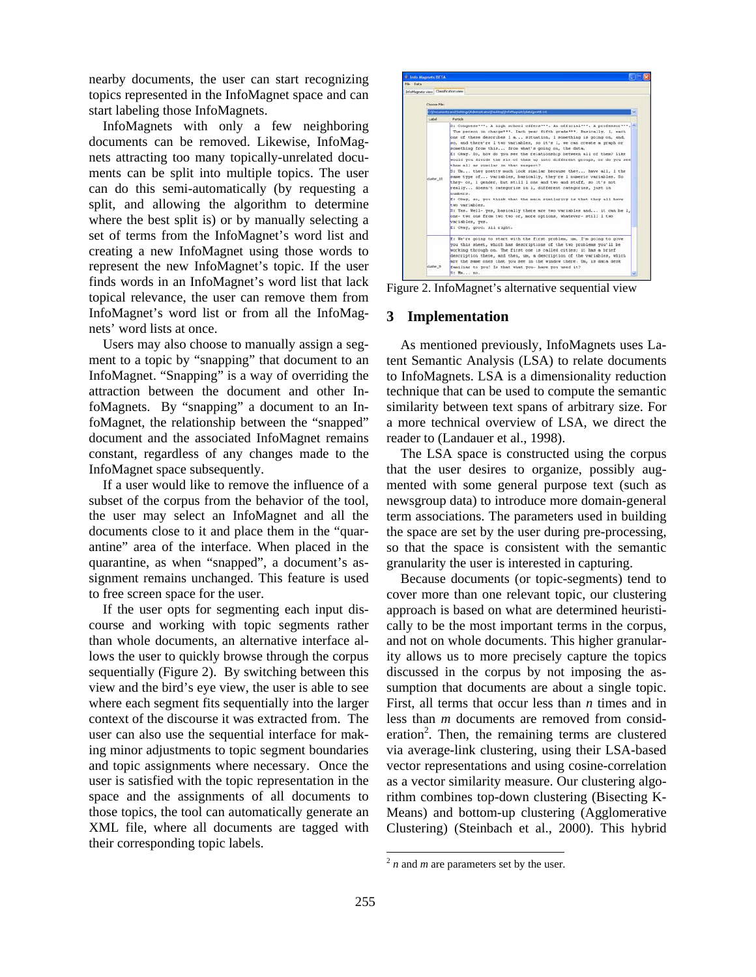nearby documents, the user can start recognizing topics represented in the InfoMagnet space and can start labeling those InfoMagnets.

InfoMagnets with only a few neighboring documents can be removed. Likewise, InfoMagnets attracting too many topically-unrelated documents can be split into multiple topics. The user can do this semi-automatically (by requesting a split, and allowing the algorithm to determine where the best split is) or by manually selecting a set of terms from the InfoMagnet's word list and creating a new InfoMagnet using those words to represent the new InfoMagnet's topic. If the user finds words in an InfoMagnet's word list that lack topical relevance, the user can remove them from InfoMagnet's word list or from all the InfoMagnets' word lists at once.

Users may also choose to manually assign a segment to a topic by "snapping" that document to an InfoMagnet. "Snapping" is a way of overriding the attraction between the document and other InfoMagnets. By "snapping" a document to an InfoMagnet, the relationship between the "snapped" document and the associated InfoMagnet remains constant, regardless of any changes made to the InfoMagnet space subsequently.

If a user would like to remove the influence of a subset of the corpus from the behavior of the tool, the user may select an InfoMagnet and all the documents close to it and place them in the "quarantine" area of the interface. When placed in the quarantine, as when "snapped", a document's assignment remains unchanged. This feature is used to free screen space for the user.

If the user opts for segmenting each input discourse and working with topic segments rather than whole documents, an alternative interface allows the user to quickly browse through the corpus sequentially (Figure 2). By switching between this view and the bird's eye view, the user is able to see where each segment fits sequentially into the larger context of the discourse it was extracted from. The user can also use the sequential interface for making minor adjustments to topic segment boundaries and topic assignments where necessary. Once the user is satisfied with the topic representation in the space and the assignments of all documents to those topics, the tool can automatically generate an XML file, where all documents are tagged with their corresponding topic labels.



Figure 2. InfoMagnet's alternative sequential view

### **3 Implementation**

As mentioned previously, InfoMagnets uses Latent Semantic Analysis (LSA) to relate documents to InfoMagnets. LSA is a dimensionality reduction technique that can be used to compute the semantic similarity between text spans of arbitrary size. For a more technical overview of LSA, we direct the reader to (Landauer et al., 1998).

The LSA space is constructed using the corpus that the user desires to organize, possibly augmented with some general purpose text (such as newsgroup data) to introduce more domain-general term associations. The parameters used in building the space are set by the user during pre-processing, so that the space is consistent with the semantic granularity the user is interested in capturing.

Because documents (or topic-segments) tend to cover more than one relevant topic, our clustering approach is based on what are determined heuristically to be the most important terms in the corpus, and not on whole documents. This higher granularity allows us to more precisely capture the topics discussed in the corpus by not imposing the assumption that documents are about a single topic. First, all terms that occur less than *n* times and in less than *m* documents are removed from consideration<sup>2</sup>. Then, the remaining terms are clustered via average-link clustering, using their LSA-based vector representations and using cosine-correlation as a vector similarity measure. Our clustering algorithm combines top-down clustering (Bisecting K-Means) and bottom-up clustering (Agglomerative Clustering) (Steinbach et al., 2000). This hybrid

 $2n$  and *m* are parameters set by the user.